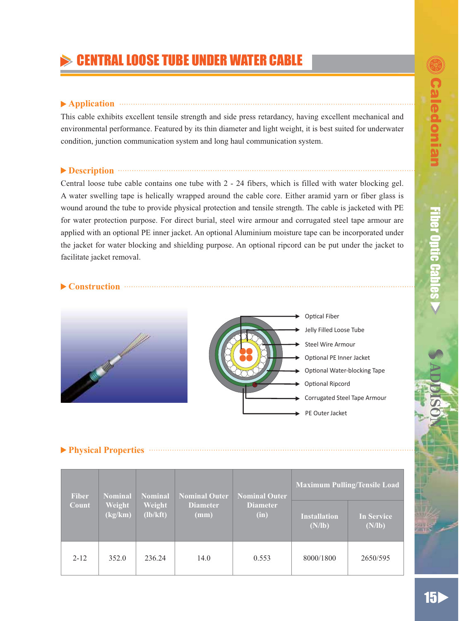# **CENTRAL LOOSE TUBE UNDER WATER CABLE**

## **▶ Application**

This cable exhibits excellent tensile strength and side press retardancy, having excellent mechanical and environmental performance. Featured by its thin diameter and light weight, it is best suited for underwater condition, junction communication system and long haul communication system.

# **Description Example 20 Description**

Central loose tube cable contains one tube with 2 - 24 fibers, which is filled with water blocking gel. A water swelling tape is helically wrapped around the cable core. Either aramid yarn or fiber glass is wound around the tube to provide physical protection and tensile strength. The cable is jacketed with PE for water protection purpose. For direct burial, steel wire armour and corrugated steel tape armour are applied with an optional PE inner jacket. An optional Aluminium moisture tape can be incorporated under the jacket for water blocking and shielding purpose. An optional ripcord can be put under the jacket to facilitate jacket removal.

## ▶ Construction **Construction**



# **Physical Properties**

| <b>Fiber</b><br>Count | Nominal<br>Weight<br>(kg/km) | Nominal<br>Weight<br>(lb/kft) | <b>Nominal Outer</b><br><b>Diameter</b><br>(mm) | <b>Nominal Outer</b><br><b>Diameter</b><br>(in) | Maximum Pulling/Tensile Load  |                             |
|-----------------------|------------------------------|-------------------------------|-------------------------------------------------|-------------------------------------------------|-------------------------------|-----------------------------|
|                       |                              |                               |                                                 |                                                 | <b>Installation</b><br>(N/lb) | <b>In Service</b><br>(N/lb) |
| $2 - 12$              | 352.0                        | 236.24                        | 14.0                                            | 0.553                                           | 8000/1800                     | 2650/595                    |